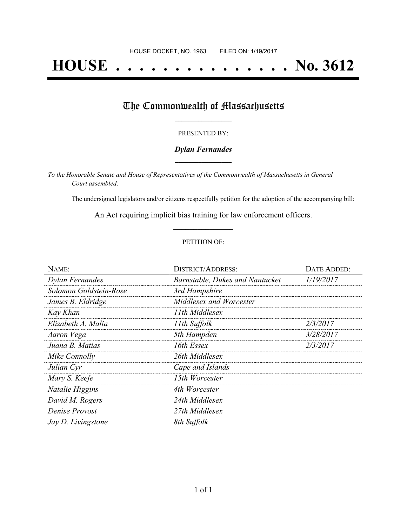# **HOUSE . . . . . . . . . . . . . . . No. 3612**

## The Commonwealth of Massachusetts

#### PRESENTED BY:

#### *Dylan Fernandes* **\_\_\_\_\_\_\_\_\_\_\_\_\_\_\_\_\_**

*To the Honorable Senate and House of Representatives of the Commonwealth of Massachusetts in General Court assembled:*

The undersigned legislators and/or citizens respectfully petition for the adoption of the accompanying bill:

An Act requiring implicit bias training for law enforcement officers. **\_\_\_\_\_\_\_\_\_\_\_\_\_\_\_**

#### PETITION OF:

| NAME:                  | <b>DISTRICT/ADDRESS:</b>        | <b>DATE ADDED:</b> |
|------------------------|---------------------------------|--------------------|
| Dylan Fernandes        | Barnstable, Dukes and Nantucket | 1/19/2017          |
| Solomon Goldstein-Rose | 3rd Hampshire                   |                    |
| James B. Eldridge      | Middlesex and Worcester         |                    |
| Kay Khan               | 11th Middlesex                  |                    |
| Elizabeth A. Malia     | 11th Suffolk                    | 2/3/2017           |
| Aaron Vega             | 5th Hampden                     | 3/28/2017          |
| Juana B. Matias        | 16th Essex                      | 2/3/2017           |
| Mike Connolly          | 26th Middlesex                  |                    |
| Julian Cyr             | Cape and Islands                |                    |
| Mary S. Keefe          | 15th Worcester                  |                    |
| Natalie Higgins        | 4th Worcester                   |                    |
| David M. Rogers        | 24th Middlesex                  |                    |
| Denise Provost         | 27th Middlesex                  |                    |
| Jay D. Livingstone     | 8th Suffolk                     |                    |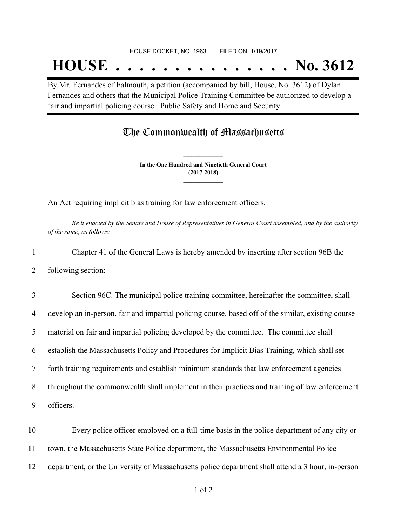## **HOUSE . . . . . . . . . . . . . . . No. 3612**

By Mr. Fernandes of Falmouth, a petition (accompanied by bill, House, No. 3612) of Dylan Fernandes and others that the Municipal Police Training Committee be authorized to develop a fair and impartial policing course. Public Safety and Homeland Security.

### The Commonwealth of Massachusetts

**In the One Hundred and Ninetieth General Court (2017-2018) \_\_\_\_\_\_\_\_\_\_\_\_\_\_\_**

**\_\_\_\_\_\_\_\_\_\_\_\_\_\_\_**

An Act requiring implicit bias training for law enforcement officers.

Be it enacted by the Senate and House of Representatives in General Court assembled, and by the authority *of the same, as follows:*

1 Chapter 41 of the General Laws is hereby amended by inserting after section 96B the 2 following section:-

 Section 96C. The municipal police training committee, hereinafter the committee, shall develop an in-person, fair and impartial policing course, based off of the similar, existing course material on fair and impartial policing developed by the committee. The committee shall establish the Massachusetts Policy and Procedures for Implicit Bias Training, which shall set forth training requirements and establish minimum standards that law enforcement agencies throughout the commonwealth shall implement in their practices and training of law enforcement officers.

10 Every police officer employed on a full-time basis in the police department of any city or 11 town, the Massachusetts State Police department, the Massachusetts Environmental Police 12 department, or the University of Massachusetts police department shall attend a 3 hour, in-person